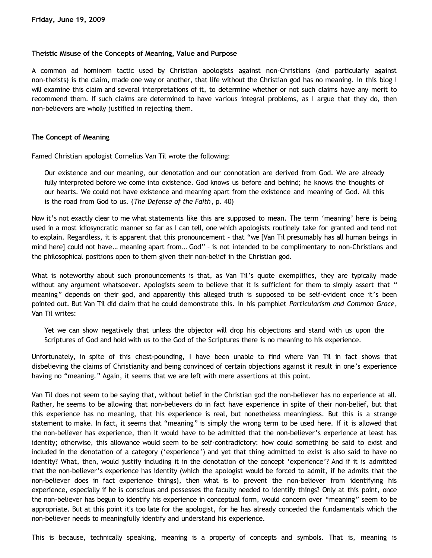## **Theistic Misuse of the Concepts of Meaning, Value and Purpose**

A common ad hominem tactic used by Christian apologists against non-Christians (and particularly against non-theists) is the claim, made one way or another, that life without the Christian god has no meaning. In this blog I will examine this claim and several interpretations of it, to determine whether or not such claims have any merit to recommend them. If such claims are determined to have various integral problems, as I argue that they do, then non-believers are wholly justified in rejecting them.

#### **The Concept of Meaning**

Famed Christian apologist Cornelius Van Til wrote the following:

Our existence and our meaning, our denotation and our connotation are derived from God. We are already fully interpreted before we come into existence. God knows us before and behind; he knows the thoughts of our hearts. We could not have existence and meaning apart from the existence and meaning of God. All this is the road from God to us. (*The Defense of the Faith*, p. 40)

Now it's not exactly clear to me what statements like this are supposed to mean. The term 'meaning' here is being used in a most idiosyncratic manner so far as I can tell, one which apologists routinely take for granted and tend not to explain. Regardless, it is apparent that this pronouncement – that "we [Van Til presumably has all human beings in mind here] could not have… meaning apart from… God" – is not intended to be complimentary to non-Christians and the philosophical positions open to them given their non-belief in the Christian god.

What is noteworthy about such pronouncements is that, as Van Til's quote exemplifies, they are typically made without any argument whatsoever. Apologists seem to believe that it is sufficient for them to simply assert that " meaning" depends on their god, and apparently this alleged truth is supposed to be self-evident once it's been pointed out. But Van Til did claim that he could demonstrate this. In his pamphlet *Particularism and Common Grace*, Van Til writes:

Yet we can show negatively that unless the objector will drop his objections and stand with us upon the Scriptures of God and hold with us to the God of the Scriptures there is no meaning to his experience.

Unfortunately, in spite of this chest-pounding, I have been unable to find where Van Til in fact shows that disbelieving the claims of Christianity and being convinced of certain objections against it result in one's experience having no "meaning." Again, it seems that we are left with mere assertions at this point.

Van Til does not seem to be saying that, without belief in the Christian god the non-believer has no experience at all. Rather, he seems to be allowing that non-believers do in fact have experience in spite of their non-belief, but that this experience has no meaning, that his experience is real, but nonetheless meaningless. But this is a strange statement to make. In fact, it seems that "meaning" is simply the wrong term to be used here. If it is allowed that the non-believer has experience, then it would have to be admitted that the non-believer's experience at least has identity; otherwise, this allowance would seem to be self-contradictory: how could something be said to exist and included in the denotation of a category ('experience') and yet that thing admitted to exist is also said to have no identity? What, then, would justify including it in the denotation of the concept 'experience'? And if it is admitted that the non-believer's experience has identity (which the apologist would be forced to admit, if he admits that the non-believer does in fact experience things), then what is to prevent the non-believer from identifying his experience, especially if he is conscious and possesses the faculty needed to identify things? Only at this point, once the non-believer has begun to identify his experience in conceptual form, would concern over "meaning" seem to be appropriate. But at this point it's too late for the apologist, for he has already conceded the fundamentals which the non-believer needs to meaningfully identify and understand his experience.

This is because, technically speaking, meaning is a property of concepts and symbols. That is, meaning is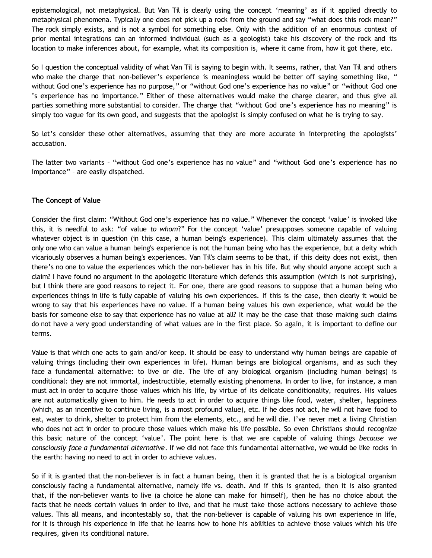epistemological, not metaphysical. But Van Til is clearly using the concept 'meaning' as if it applied directly to metaphysical phenomena. Typically one does not pick up a rock from the ground and say "what does this rock mean?" The rock simply exists, and is not a symbol for something else. Only with the addition of an enormous context of prior mental integrations can an informed individual (such as a geologist) take his discovery of the rock and its location to make inferences about, for example, what its composition is, where it came from, how it got there, etc.

So I question the conceptual validity of what Van Til is saying to begin with. It seems, rather, that Van Til and others who make the charge that non-believer's experience is meaningless would be better off saying something like, " without God one's experience has no purpose," or "without God one's experience has no value" or "without God one 's experience has no importance." Either of these alternatives would make the charge clearer, and thus give all parties something more substantial to consider. The charge that "without God one's experience has no meaning" is simply too vague for its own good, and suggests that the apologist is simply confused on what he is trying to say.

So let's consider these other alternatives, assuming that they are more accurate in interpreting the apologists' accusation.

The latter two variants – "without God one's experience has no value" and "without God one's experience has no importance" – are easily dispatched.

## **The Concept of Value**

Consider the first claim: "Without God one's experience has no value." Whenever the concept 'value' is invoked like this, it is needful to ask: "of value *to whom*?" For the concept 'value' presupposes someone capable of valuing whatever object is in question (in this case, a human being's experience). This claim ultimately assumes that the only one who can value a human being's experience is not the human being who has the experience, but a deity which vicariously observes a human being's experiences. Van Til's claim seems to be that, if this deity does not exist, then there's no one to value the experiences which the non-believer has in his life. But why should anyone accept such a claim? I have found no argument in the apologetic literature which defends this assumption (which is not surprising), but I think there are good reasons to reject it. For one, there are good reasons to suppose that a human being who experiences things in life is fully capable of valuing his own experiences. If this is the case, then clearly it would be wrong to say that his experiences have no value. If a human being values his own experience, what would be the basis for someone else to say that experience has no value at all? It may be the case that those making such claims do not have a very good understanding of what values are in the first place. So again, it is important to define our terms.

Value is that which one acts to gain and/or keep. It should be easy to understand why human beings are capable of valuing things (including their own experiences in life). Human beings are biological organisms, and as such they face a fundamental alternative: to live or die. The life of any biological organism (including human beings) is conditional: they are not immortal, indestructible, eternally existing phenomena. In order to live, for instance, a man must act in order to acquire those values which his life, by virtue of its delicate conditionality, requires. His values are not automatically given to him. He needs to act in order to acquire things like food, water, shelter, happiness (which, as an incentive to continue living, is a most profound value), etc. If he does not act, he will not have food to eat, water to drink, shelter to protect him from the elements, etc., and he will die. I've never met a living Christian who does not act in order to procure those values which make his life possible. So even Christians should recognize this basic nature of the concept 'value'. The point here is that we are capable of valuing things *because we consciously face a fundamental alternative*. If we did not face this fundamental alternative, we would be like rocks in the earth: having no need to act in order to achieve values.

So if it is granted that the non-believer is in fact a human being, then it is granted that he is a biological organism consciously facing a fundamental alternative, namely life vs. death. And if this is granted, then it is also granted that, if the non-believer wants to live (a choice he alone can make for himself), then he has no choice about the facts that he needs certain values in order to live, and that he must take those actions necessary to achieve those values. This all means, and incontestably so, that the non-believer is capable of valuing his own experience in life, for it is through his experience in life that he learns how to hone his abilities to achieve those values which his life requires, given its conditional nature.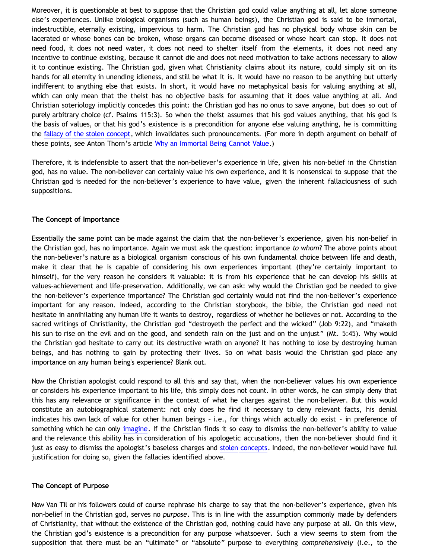Moreover, it is questionable at best to suppose that the Christian god could value anything at all, let alone someone else's experiences. Unlike biological organisms (such as human beings), the Christian god is said to be immortal, indestructible, eternally existing, impervious to harm. The Christian god has no physical body whose skin can be lacerated or whose bones can be broken, whose organs can become diseased or whose heart can stop. It does not need food, it does not need water, it does not need to shelter itself from the elements, it does not need any incentive to continue existing, because it cannot die and does not need motivation to take actions necessary to allow it to continue existing. The Christian god, given what Christianity claims about its nature, could simply sit on its hands for all eternity in unending idleness, and still be what it is. It would have no reason to be anything but utterly indifferent to anything else that exists. In short, it would have no metaphysical basis for valuing anything at all, which can only mean that the theist has no objective basis for assuming that it does value anything at all. And Christian soteriology implicitly concedes this point: the Christian god has no onus to save anyone, but does so out of purely arbitrary choice (cf. Psalms 115:3). So when the theist assumes that his god values anything, that his god is the basis of values, or that his god's existence is a precondition for anyone else valuing anything, he is committing the [fallacy of the stolen concept](http://bahnsenburner.blogspot.com/2008/06/stolen-concepts-and-intellectual.html), which invalidates such pronouncements. (For more in depth argument on behalf of these points, see Anton Thorn's article [Why an Immortal Being Cannot Value.](http://www.geocities.com/Athens/Sparta/1019/Value.htm))

Therefore, it is indefensible to assert that the non-believer's experience in life, given his non-belief in the Christian god, has no value. The non-believer can certainly value his own experience, and it is nonsensical to suppose that the Christian god is needed for the non-believer's experience to have value, given the inherent fallaciousness of such suppositions.

# **The Concept of Importance**

Essentially the same point can be made against the claim that the non-believer's experience, given his non-belief in the Christian god, has no importance. Again we must ask the question: importance *to whom*? The above points about the non-believer's nature as a biological organism conscious of his own fundamental choice between life and death, make it clear that he is capable of considering his own experiences important (they're certainly important to himself), for the very reason he considers it valuable: it is from his experience that he can develop his skills at values-achievement and life-preservation. Additionally, we can ask: why would the Christian god be needed to give the non-believer's experience importance? The Christian god certainly would not find the non-believer's experience important for any reason. Indeed, according to the Christian storybook, the bible, the Christian god need not hesitate in annihilating any human life it wants to destroy, regardless of whether he believes or not. According to the sacred writings of Christianity, the Christian god "destroyeth the perfect and the wicked" (Job 9:22), and "maketh his sun to rise on the evil and on the good, and sendeth rain on the just and on the unjust" (Mt. 5:45). Why would the Christian god hesitate to carry out its destructive wrath on anyone? It has nothing to lose by destroying human beings, and has nothing to gain by protecting their lives. So on what basis would the Christian god place any importance on any human being's experience? Blank out.

Now the Christian apologist could respond to all this and say that, when the non-believer values his own experience or considers his experience important to his life, this simply does not count. In other words, he can simply deny that this has any relevance or significance in the context of what he charges against the non-believer. But this would constitute an autobiographical statement: not only does he find it necessary to deny relevant facts, his denial indicates his own lack of value for other human beings – i.e., for things which actually do exist – in preference of something which he can only [imagine](http://bahnsenburner.blogspot.com/search/label/imagination). If the Christian finds it so easy to dismiss the non-believer's ability to value and the relevance this ability has in consideration of his apologetic accusations, then the non-believer should find it just as easy to dismiss the apologist's baseless charges and [stolen concepts.](http://bahnsenburner.blogspot.com/2008/06/stolen-concepts-and-intellectual.html) Indeed, the non-believer would have full justification for doing so, given the fallacies identified above.

## **The Concept of Purpose**

Now Van Til or his followers could of course rephrase his charge to say that the non-believer's experience, given his non-belief in the Christian god, serves no *purpose*. This is in line with the assumption commonly made by defenders of Christianity, that without the existence of the Christian god, nothing could have any purpose at all. On this view, the Christian god's existence is a precondition for any purpose whatsoever. Such a view seems to stem from the supposition that there must be an "ultimate" or "absolute" purpose to everything *comprehensively* (i.e., to the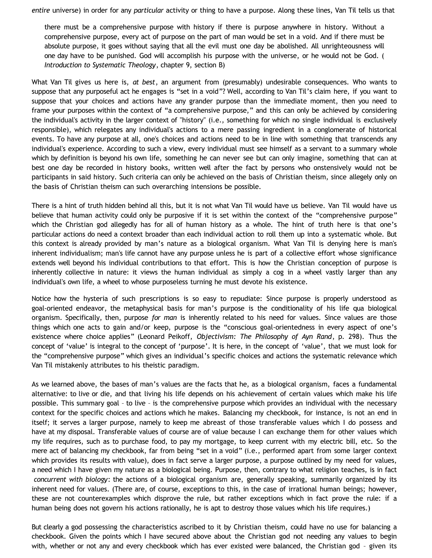*entire* universe) in order for any *particular* activity or thing to have a purpose. Along these lines, Van Til tells us that

there must be a comprehensive purpose with history if there is purpose anywhere in history. Without a comprehensive purpose, every act of purpose on the part of man would be set in a void. And if there must be absolute purpose, it goes without saying that all the evil must one day be abolished. All unrighteousness will one day have to be punished. God will accomplish his purpose with the universe, or he would not be God. ( *Introduction to Systematic Theology*, chapter 9, section B)

What Van Til gives us here is, *at best*, an argument from (presumably) undesirable consequences. Who wants to suppose that any purposeful act he engages is "set in a void"? Well, according to Van Til's claim here, if you want to suppose that your choices and actions have any grander purpose than the immediate moment, then you need to frame your purposes within the context of "a comprehensive purpose," and this can only be achieved by considering the individual's activity in the larger context of "history" (i.e., something for which no single individual is exclusively responsible), which relegates any individual's actions to a mere passing ingredient in a conglomerate of historical events. To have any purpose at all, one's choices and actions need to be in line with something that transcends any individual's experience. According to such a view, every individual must see himself as a servant to a summary whole which by definition is beyond his own life, something he can never see but can only imagine, something that can at best one day be recorded in history books, written well after the fact by persons who onstensively would not be participants in said history. Such criteria can only be achieved on the basis of Christian theism, since allegely only on the basis of Christian theism can such overarching intensions be possible.

There is a hint of truth hidden behind all this, but it is not what Van Til would have us believe. Van Til would have us believe that human activity could only be purposive if it is set within the context of the "comprehensive purpose" which the Christian god allegedly has for all of human history as a whole. The hint of truth here is that one's particular actions do need a context broader than each individual action to roll them up into a systematic whole. But this context is already provided by man's nature as a biological organism. What Van Til is denying here is man's inherent individualism; man's life cannot have any purpose unless he is part of a collective effort whose significance extends well beyond his individual contributions to that effort. This is how the Christian conception of purpose is inherently collective in nature: it views the human individual as simply a cog in a wheel vastly larger than any individual's own life, a wheel to whose purposeless turning he must devote his existence.

Notice how the hysteria of such prescriptions is so easy to repudiate: Since purpose is properly understood as goal-oriented endeavor, the metaphysical basis for man's purpose is the conditionality of his life qua biological organism. Specifically, then, purpose *for man* is inherently related to his need for values. Since values are those things which one acts to gain and/or keep, purpose is the "conscious goal-orientedness in every aspect of one's existence where choice applies" (Leonard Peikoff, *Objectivism: The Philosophy of Ayn Rand*, p. 298). Thus the concept of 'value' is integral to the concept of 'purpose'. It is here, in the concept of 'value', that we must look for the "comprehensive purpose" which gives an individual's specific choices and actions the systematic relevance which Van Til mistakenly attributes to his theistic paradigm.

As we learned above, the bases of man's values are the facts that he, as a biological organism, faces a fundamental alternative: to live or die, and that living his life depends on his achievement of certain values which make his life possible. This summary goal – to live – is the comprehensive purpose which provides an individual with the necessary context for the specific choices and actions which he makes. Balancing my checkbook, for instance, is not an end in itself; it serves a larger purpose, namely to keep me abreast of those transferable values which I do possess and have at my disposal. Transferable values of course are of value because I can exchange them for other values which my life requires, such as to purchase food, to pay my mortgage, to keep current with my electric bill, etc. So the mere act of balancing my checkbook, far from being "set in a void" (i.e., performed apart from some larger context which provides its results with value), does in fact serve a larger purpose, a purpose outlined by my need for values, a need which I have given my nature as a biological being. Purpose, then, contrary to what religion teaches, is in fact *concurrent with biology*: the actions of a biological organism are, generally speaking, summarily organized by its inherent need for values. (There are, of course, exceptions to this, in the case of irrational human beings; however, these are not counterexamples which disprove the rule, but rather exceptions which in fact prove the rule: if a human being does not govern his actions rationally, he is apt to destroy those values which his life requires.)

But clearly a god possessing the characteristics ascribed to it by Christian theism, could have no use for balancing a checkbook. Given the points which I have secured above about the Christian god not needing any values to begin with, whether or not any and every checkbook which has ever existed were balanced, the Christian god – given its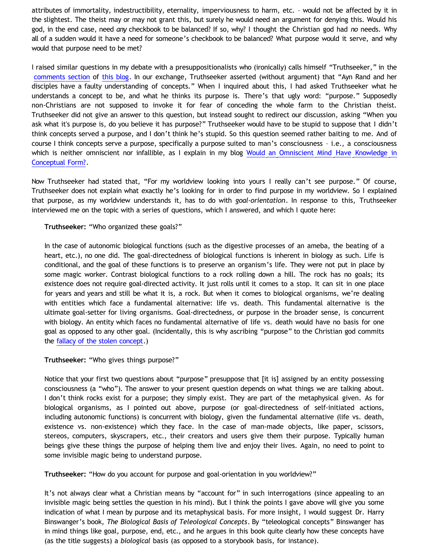attributes of immortality, indestructibility, eternality, imperviousness to harm, etc. – would not be affected by it in the slightest. The theist may or may not grant this, but surely he would need an argument for denying this. Would his god, in the end case, need *any* checkbook to be balanced? If so, why? I thought the Christian god had *no* needs. Why all of a sudden would it have a need for someone's checkbook to be balanced? What purpose would it serve, and why would that purpose need to be met?

I raised similar questions in my debate with a presuppositionalists who (ironically) calls himself "Truthseeker," in the [comments section](http://skepticalstudies.blogspot.com/2009/02/tag-peanut-gallery-comment-here.html?commentPage=3) of [this blog](http://skepticalstudies.blogspot.com/2009/02/tag-peanut-gallery-comment-here.html). In our exchange, Truthseeker asserted (without argument) that "Ayn Rand and her disciples have a faulty understanding of concepts." When I inquired about this, I had asked Truthseeker what he understands a concept to be, and what he thinks its purpose is. There's that ugly word: "purpose." Supposedly non-Christians are not supposed to invoke it for fear of conceding the whole farm to the Christian theist. Truthseeker did not give an answer to this question, but instead sought to redirect our discussion, asking "When you ask what it's purpose is, do you believe it has purpose?" Truthseeker would have to be stupid to suppose that I didn't think concepts served a purpose, and I don't think he's stupid. So this question seemed rather baiting to me. And of course I think concepts serve a purpose, specifically a purpose suited to man's consciousness – i.e., a consciousness which is neither omniscient nor infallible, as I explain in my blog [Would an Omniscient Mind Have Knowledge in](http://bahnsenburner.blogspot.com/2007/04/would-omniscient-mind-have-knowledge-in.html) [Conceptual Form?](http://bahnsenburner.blogspot.com/2007/04/would-omniscient-mind-have-knowledge-in.html).

Now Truthseeker had stated that, "For my worldview looking into yours I really can't see purpose." Of course, Truthseeker does not explain what exactly he's looking for in order to find purpose in my worldview. So I explained that purpose, as my worldview understands it, has to do with *goal-orientation*. In response to this, Truthseeker interviewed me on the topic with a series of questions, which I answered, and which I quote here:

**Truthseeker:** "Who organized these goals?"

In the case of autonomic biological functions (such as the digestive processes of an ameba, the beating of a heart, etc.), no one did. The goal-directedness of biological functions is inherent in biology as such. Life is conditional, and the goal of these functions is to preserve an organism's life. They were not put in place by some magic worker. Contrast biological functions to a rock rolling down a hill. The rock has no goals; its existence does not require goal-directed activity. It just rolls until it comes to a stop. It can sit in one place for years and years and still be what it is, a rock. But when it comes to biological organisms, we're dealing with entities which face a fundamental alternative: life vs. death. This fundamental alternative is the ultimate goal-setter for living organisms. Goal-directedness, or purpose in the broader sense, is concurrent with biology. An entity which faces no fundamental alternative of life vs. death would have no basis for one goal as opposed to any other goal. (Incidentally, this is why ascribing "purpose" to the Christian god commits the [fallacy of the stolen concept](http://bahnsenburner.blogspot.com/2008/06/stolen-concepts-and-intellectual.html).)

**Truthseeker:** "Who gives things purpose?"

Notice that your first two questions about "purpose" presuppose that [it is] assigned by an entity possessing consciousness (a "who"). The answer to your present question depends on what things we are talking about. I don't think rocks exist for a purpose; they simply exist. They are part of the metaphysical given. As for biological organisms, as I pointed out above, purpose (or goal-directedness of self-initiated actions, including autonomic functions) is concurrent with biology, given the fundamental alternative (life vs. death, existence vs. non-existence) which they face. In the case of man-made objects, like paper, scissors, stereos, computers, skyscrapers, etc., their creators and users give them their purpose. Typically human beings give these things the purpose of helping them live and enjoy their lives. Again, no need to point to some invisible magic being to understand purpose.

**Truthseeker:** "How do you account for purpose and goal-orientation in you worldview?"

It's not always clear what a Christian means by "account for" in such interrogations (since appealing to an invisible magic being settles the question in his mind). But I think the points I gave above will give you some indication of what I mean by purpose and its metaphysical basis. For more insight, I would suggest Dr. Harry Binswanger's book, *The Biological Basis of Teleological Concepts*. By "teleological concepts" Binswanger has in mind things like goal, purpose, end, etc., and he argues in this book quite clearly how these concepts have (as the title suggests) a *biological* basis (as opposed to a storybook basis, for instance).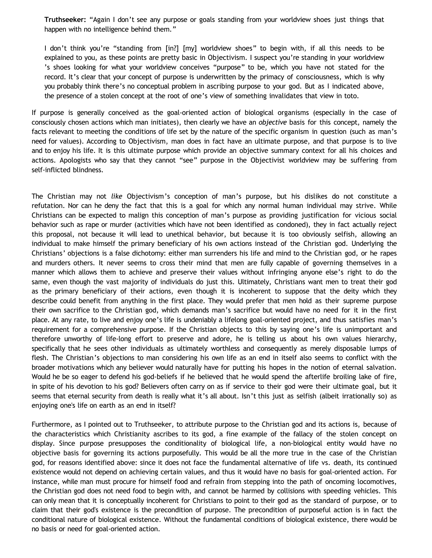**Truthseeker:** "Again I don't see any purpose or goals standing from your worldview shoes just things that happen with no intelligence behind them."

I don't think you're "standing from [in?] [my] worldview shoes" to begin with, if all this needs to be explained to you, as these points are pretty basic in Objectivism. I suspect you're standing in your worldview 's shoes looking for what your worldview conceives "purpose" to be, which you have not stated for the record. It's clear that your concept of purpose is underwritten by the primacy of consciousness, which is why you probably think there's no conceptual problem in ascribing purpose to your god. But as I indicated above, the presence of a stolen concept at the root of one's view of something invalidates that view in toto.

If purpose is generally conceived as the goal-oriented action of biological organisms (especially in the case of consciously chosen actions which man initiates), then clearly we have an *objective* basis for this concept, namely the facts relevant to meeting the conditions of life set by the nature of the specific organism in question (such as man's need for values). According to Objectivism, man does in fact have an ultimate purpose, and that purpose is to live and to enjoy his life. It is this ultimate purpose which provide an objective summary context for all his choices and actions. Apologists who say that they cannot "see" purpose in the Objectivist worldview may be suffering from self-inflicted blindness.

The Christian may not *like* Objectivism's conception of man's purpose, but his dislikes do not constitute a refutation. Nor can he deny the fact that this is a goal for which any normal human individual may strive. While Christians can be expected to malign this conception of man's purpose as providing justification for vicious social behavior such as rape or murder (activities which have not been identified as condoned), they in fact actually reject this proposal, not because it will lead to unethical behavior, but because it is too obviously selfish, allowing an individual to make himself the primary beneficiary of his own actions instead of the Christian god. Underlying the Christians' objections is a false dichotomy: either man surrenders his life and mind to the Christian god, or he rapes and murders others. It never seems to cross their mind that men are fully capable of governing themselves in a manner which allows them to achieve and preserve their values without infringing anyone else's right to do the same, even though the vast majority of individuals do just this. Ultimately, Christians want men to treat their god as the primary beneficiary of their actions, even though it is incoherent to suppose that the deity which they describe could benefit from anything in the first place. They would prefer that men hold as their supreme purpose their own sacrifice to the Christian god, which demands man's sacrifice but would have no need for it in the first place. At any rate, to live and enjoy one's life is undeniably a lifelong goal-oriented project, and thus satisfies man's requirement for a comprehensive purpose. If the Christian objects to this by saying one's life is unimportant and therefore unworthy of life-long effort to preserve and adore, he is telling us about his own values hierarchy, specifically that he sees other individuals as ultimately worthless and consequently as merely disposable lumps of flesh. The Christian's objections to man considering his own life as an end in itself also seems to conflict with the broader motivations which any believer would naturally have for putting his hopes in the notion of eternal salvation. Would he be so eager to defend his god-beliefs if he believed that he would spend the afterlife broiling lake of fire, in spite of his devotion to his god? Believers often carry on as if service to their god were their ultimate goal, but it seems that eternal security from death is really what it's all about. Isn't this just as selfish (albeit irrationally so) as enjoying one's life on earth as an end in itself?

Furthermore, as I pointed out to Truthseeker, to attribute purpose to the Christian god and its actions is, because of the characteristics which Christianity ascribes to its god, a fine example of the fallacy of the stolen concept on display. Since purpose presupposes the conditionality of biological life, a non-biological entity would have no objective basis for governing its actions purposefully. This would be all the more true in the case of the Christian god, for reasons identified above: since it does not face the fundamental alternative of life vs. death, its continued existence would not depend on achieving certain values, and thus it would have no basis for goal-oriented action. For instance, while man must procure for himself food and refrain from stepping into the path of oncoming locomotives, the Christian god does not need food to begin with, and cannot be harmed by collisions with speeding vehicles. This can only mean that it is conceptually incoherent for Christians to point to their god as the standard of purpose, or to claim that their god's existence is the precondition of purpose. The precondition of purposeful action is in fact the conditional nature of biological existence. Without the fundamental conditions of biological existence, there would be no basis or need for goal-oriented action.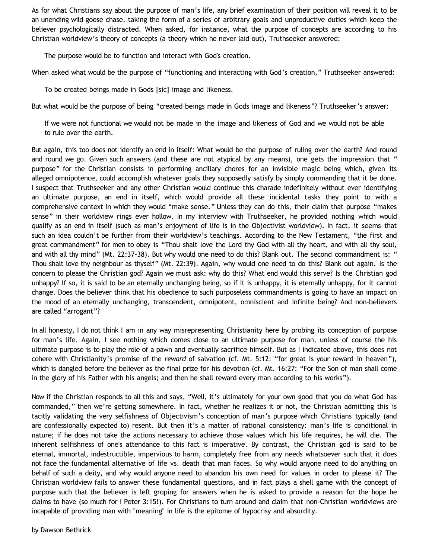As for what Christians say about the purpose of man's life, any brief examination of their position will reveal it to be an unending wild goose chase, taking the form of a series of arbitrary goals and unproductive duties which keep the believer psychologically distracted. When asked, for instance, what the purpose of concepts are according to his Christian worldview's theory of concepts (a theory which he never laid out), Truthseeker answered:

The purpose would be to function and interact with God's creation.

When asked what would be the purpose of "functioning and interacting with God's creation," Truthseeker answered:

To be created beings made in Gods [sic] image and likeness.

But what would be the purpose of being "created beings made in Gods image and likeness"? Truthseeker's answer:

If we were not functional we would not be made in the image and likeness of God and we would not be able to rule over the earth.

But again, this too does not identify an end in itself: What would be the purpose of ruling over the earth? And round and round we go. Given such answers (and these are not atypical by any means), one gets the impression that " purpose" for the Christian consists in performing ancillary chores for an invisible magic being which, given its alleged omnipotence, could accomplish whatever goals they supposedly satisfy by simply commanding that it be done. I suspect that Truthseeker and any other Christian would continue this charade indefinitely without ever identifying an ultimate purpose, an end in itself, which would provide all these incidental tasks they point to with a comprehensive context in which they would "make sense." Unless they can do this, their claim that purpose "makes sense" in their worldview rings ever hollow. In my interview with Truthseeker, he provided nothing which would qualify as an end in itself (such as man's enjoyment of life is in the Objectivist worldview). In fact, it seems that such an idea couldn't be further from their worldview's teachings. According to the New Testament, "the first and great commandment" for men to obey is "Thou shalt love the Lord thy God with all thy heart, and with all thy soul, and with all thy mind" (Mt. 22:37-38). But why would one need to do this? Blank out. The second commandment is: " Thou shalt love thy neighbour as thyself" (Mt. 22:39). Again, why would one need to do this? Blank out again. Is the concern to please the Christian god? Again we must ask: why do this? What end would this serve? Is the Christian god unhappy? If so, it is said to be an eternally unchanging being, so if it is unhappy, it is eternally unhappy, for it cannot change. Does the believer think that his obedience to such purposeless commandments is going to have an impact on the mood of an eternally unchanging, transcendent, omnipotent, omniscient and infinite being? And non-believers are called "arrogant"?

In all honesty, I do not think I am in any way misrepresenting Christianity here by probing its conception of purpose for man's life. Again, I see nothing which comes close to an ultimate purpose for man, unless of course the his ultimate purpose is to play the role of a pawn and eventually sacrifice himself. But as I indicated above, this does not cohere with Christianity's promise of the *reward* of salvation (cf. Mt. 5:12: "for great is your reward in heaven"), which is dangled before the believer as the final prize for his devotion (cf. Mt. 16:27: "For the Son of man shall come in the glory of his Father with his angels; and then he shall reward every man according to his works").

Now if the Christian responds to all this and says, "Well, it's ultimately for your own good that you do what God has commanded," then we're getting somewhere. In fact, whether he realizes it or not, the Christian admitting this is tacitly validating the very selfishness of Objectivism's conception of man's purpose which Christians typically (and are confessionally expected to) resent. But then it's a matter of rational consistency: man's life is conditional in nature; if he does not take the actions necessary to achieve those values which his life requires, he will die. The inherent selfishness of one's attendance to this fact is imperative. By contrast, the Christian god is said to be eternal, immortal, indestructible, impervious to harm, completely free from any needs whatsoever such that it does not face the fundamental alternative of life vs. death that man faces. So why would anyone need to do anything on behalf of such a deity, and why would anyone need to abandon his own need for values in order to please it? The Christian worldview fails to answer these fundamental questions, and in fact plays a shell game with the concept of purpose such that the believer is left groping for answers when he is asked to provide a reason for the hope he claims to have (so much for I Peter 3:15!). For Christians to turn around and claim that non-Christian worldviews are incapable of providing man with "meaning" in life is the epitome of hypocrisy and absurdity.